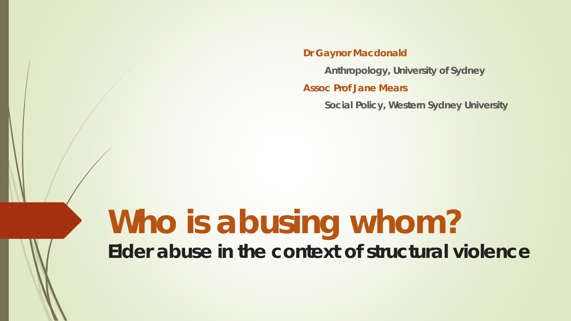**Dr Gaynor Macdonald**

**Anthropology, University of Sydney**

**Assoc Prof Jane Mears**

**Social Policy, Western Sydney University** 

# **Who is abusing whom? Elder abuse in the context of structural violence**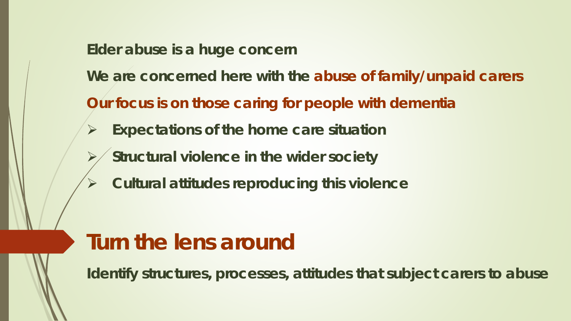**Elder abuse is a huge concern**

**We are concerned here with the abuse of family/unpaid carers** 

**Our focus is on those caring for people with dementia**

- **Expectations of the home care situation**
	- **Structural violence in the wider society**
	- **Cultural attitudes reproducing this violence**

## **Turn the lens around**

**Identify structures, processes, attitudes that subject carers to abuse**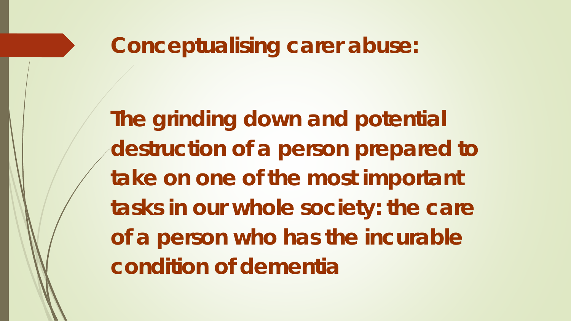## **Conceptualising carer abuse:**

**The grinding down and potential destruction of a person prepared to take on one of the most important tasks in our whole society: the care of a person who has the incurable condition of dementia**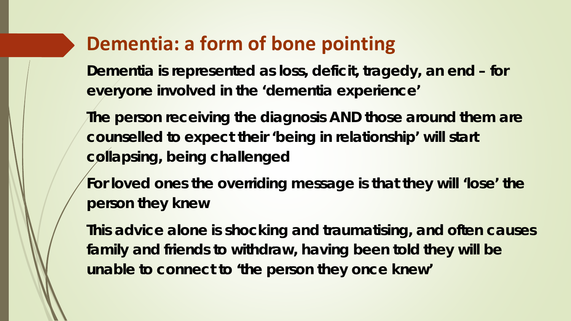## **Dementia: a form of bone pointing**

**Dementia is represented as loss, deficit, tragedy, an end – for everyone involved in the 'dementia experience'** 

**The person receiving the diagnosis AND those around them are counselled to expect their 'being in relationship' will start collapsing, being challenged**

**For loved ones the overriding message is that they will 'lose' the person they knew** 

**This advice alone is shocking and traumatising, and often causes family and friends to withdraw, having been told they will be unable to connect to 'the person they once knew'**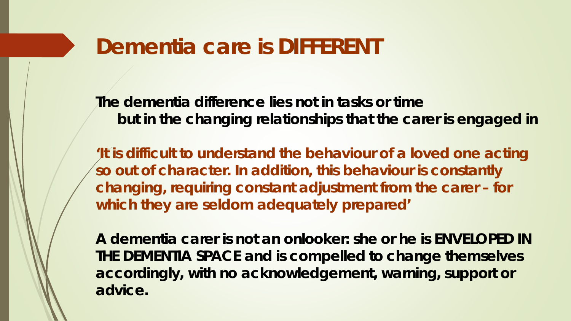## **Dementia care is DIFFERENT**

**The dementia difference lies not in tasks or time but in the changing relationships that the carer is engaged in**

**'It is difficult to understand the behaviour of a loved one acting so out of character. In addition, this behaviour is constantly changing, requiring constant adjustment from the carer – for which they are seldom adequately prepared'** 

**A dementia carer is not an onlooker: she or he is ENVELOPED IN THE DEMENTIA SPACE and is compelled to change themselves accordingly, with no acknowledgement, warning, support or advice.**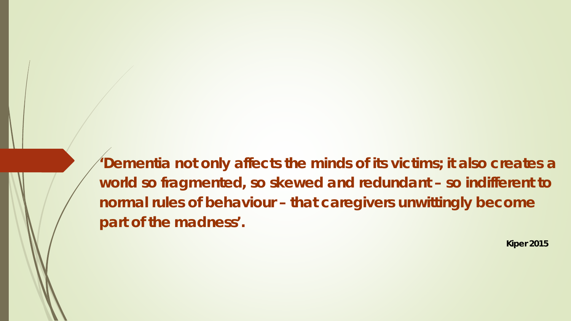**'Dementia not only affects the minds of its victims; it also creates a world so fragmented, so skewed and redundant – so indifferent to normal rules of behaviour – that caregivers unwittingly become part of the madness'.** 

**Kiper 2015**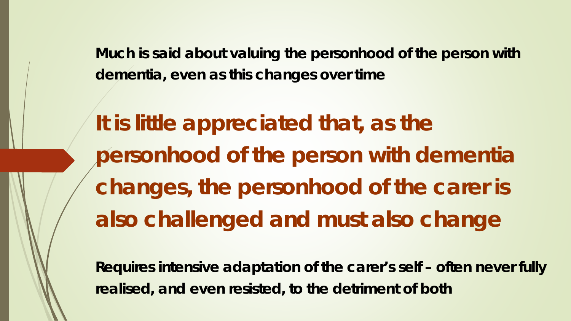**Much is said about valuing the personhood of the person with dementia, even as this changes over time**

**It is little appreciated that, as the personhood of the person with dementia changes,** *the personhood of the carer* **is also challenged and must also change**

**Requires intensive adaptation of the carer's self – often never fully realised, and even resisted, to the detriment of both**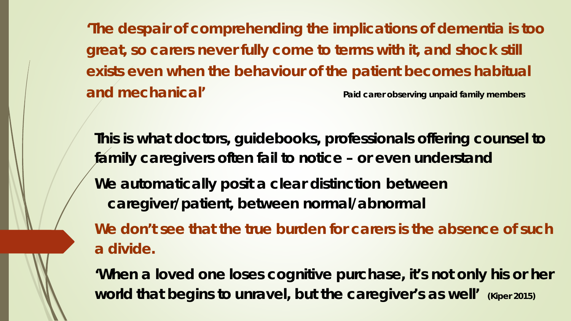**'The despair of comprehending the implications of dementia is too great, so carers never fully come to terms with it, and shock still exists even when the behaviour of the patient becomes habitual and mechanical' Paid carer observing unpaid family members**

**This is what doctors, guidebooks, professionals offering counsel to family caregivers often fail to notice – or even understand We automatically posit a clear distinction between caregiver/patient, between normal/abnormal We don't see that the true burden for carers is the absence of such** 

**a divide.** 

**'When a loved one loses cognitive purchase, it's not only his or her world that begins to unravel, but the caregiver's as well' (Kiper 2015)**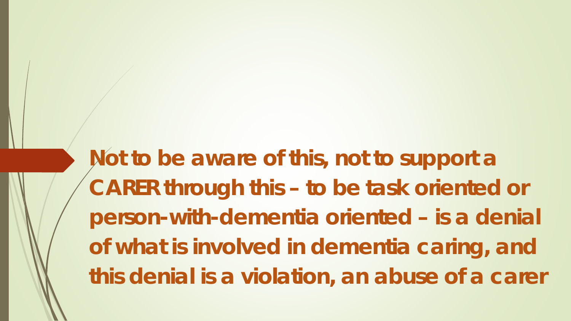**Not to be aware of this, not to support a CARER through this – to be task oriented or person-with-dementia oriented – is a denial of what is involved in dementia caring, and this denial is a violation, an abuse of a carer**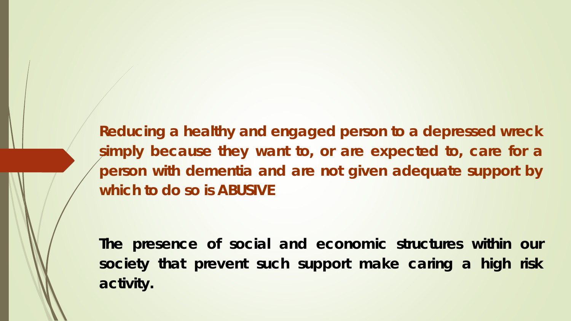**Reducing a healthy and engaged person to a depressed wreck simply because they want to, or are expected to, care for a person with dementia and are not given adequate support by which to do so is ABUSIVE**

**The presence of social and economic structures within our society that prevent such support make caring a high risk activity.**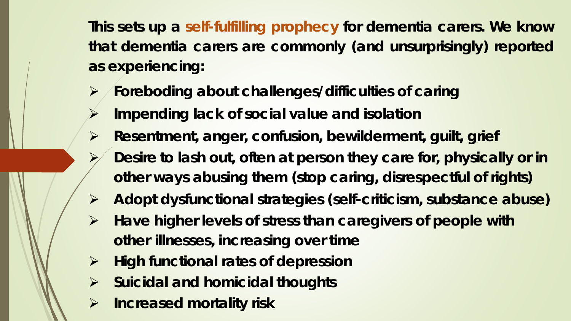**This sets up a self-fulfilling prophecy for dementia carers. We know that dementia carers are commonly (and unsurprisingly) reported as experiencing:**

- **Foreboding about challenges/difficulties of caring**
- **Impending lack of social value and isolation**
- **Resentment, anger, confusion, bewilderment, guilt, grief** 
	- **Desire to lash out, often at person they care for, physically or in other ways abusing them (stop caring, disrespectful of rights)**
- **Adopt dysfunctional strategies (self-criticism, substance abuse)**
- **Have higher levels of stress than caregivers of people with other illnesses, increasing over time**
- **High functional rates of depression**
- **Suicidal and homicidal thoughts**
- **Increased mortality risk**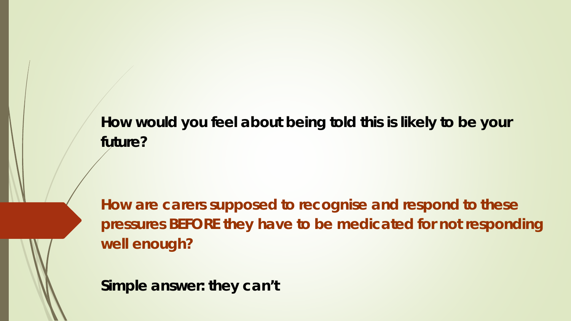**How would you feel about being told this is likely to be your future?**

**How are carers supposed to recognise and respond to these pressures BEFORE they have to be medicated for not responding well enough?**

**Simple answer: they can't**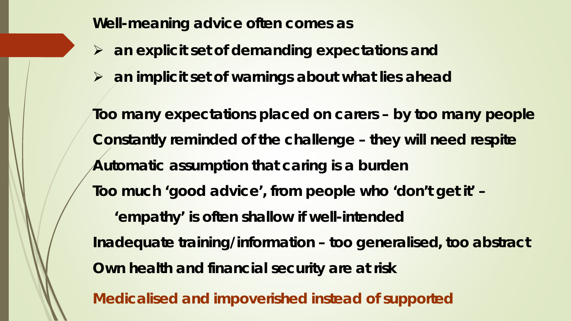**Well-meaning advice often comes as**

- **an explicit set of demanding expectations and**
- **an implicit set of warnings about what lies ahead**

**Too many expectations placed on carers – by too many people Constantly reminded of the challenge – they will need respite Automatic assumption that caring is a burden Too much 'good advice', from people who 'don't get it' – 'empathy' is often shallow if well-intended Inadequate training/information – too generalised, too abstract Own health and financial security are at risk**

**Medicalised and impoverished instead of supported**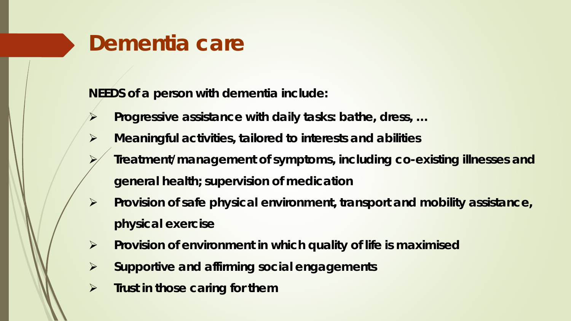# **Dementia care**

**NEEDS of a person with dementia include:**

- **Progressive assistance with daily tasks: bathe, dress, …**
- **Meaningful activities, tailored to interests and abilities** 
	- **Treatment/management of symptoms, including co-existing illnesses and general health; supervision of medication**
- **Provision of safe physical environment, transport and mobility assistance, physical exercise**
- **Provision of environment in which quality of life is maximised**
- **Supportive and affirming social engagements**
- **Fig. 5 Trust in those caring for them**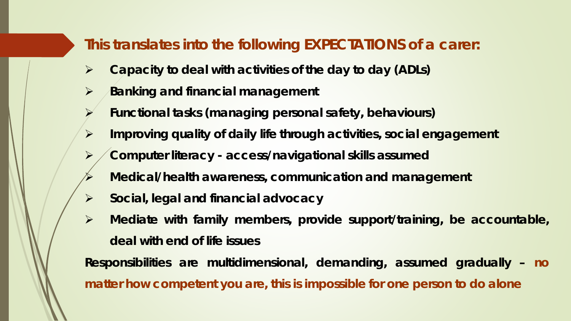### **This translates into the following EXPECTATIONS of a carer:**

- **Capacity to deal with activities of the day to day (ADLs)**
- **Banking and financial management**
- **Functional tasks (managing personal safety, behaviours)**
- **Improving quality of daily life through activities, social engagement**
- **Computer literacy - access/navigational skills assumed**
- **Medical/health awareness, communication and management**
- **Social, legal and financial advocacy**
- **Mediate with family members, provide support/training, be accountable, deal with end of life issues**

**Responsibilities are multidimensional, demanding, assumed gradually – no matter how competent you are, this is impossible for one person to do alone**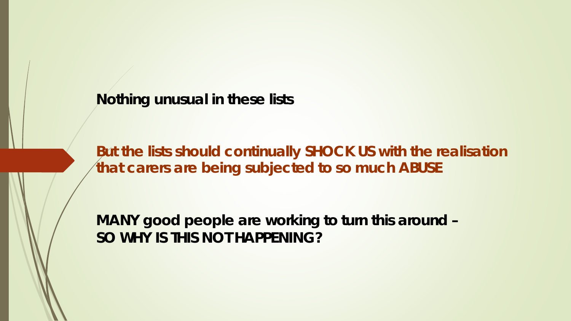**Nothing unusual in these lists** 

**But the lists should continually SHOCK US with the realisation that carers are being subjected to so much ABUSE** 

**MANY good people are working to turn this around – SO WHY IS THIS NOT HAPPENING?**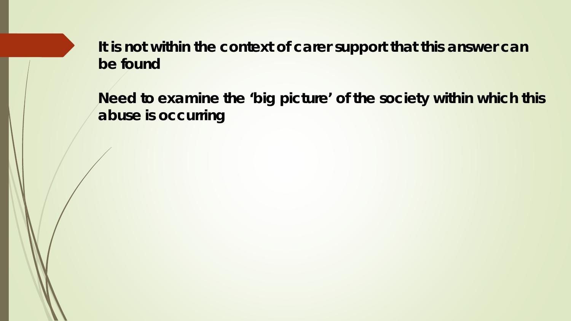**It is not within the context of carer support that this answer can be found**

**Need to examine the 'big picture' of the society within which this abuse is occurring**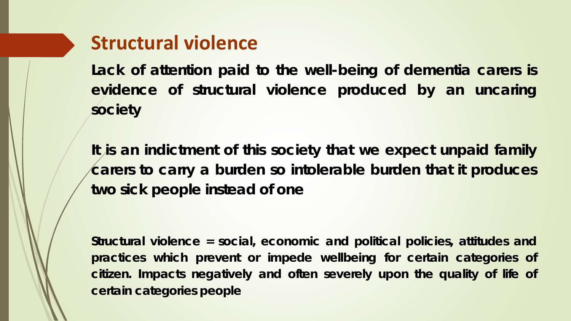### **Structural violence**

**Lack of attention paid to the well-being of dementia carers is evidence of structural violence produced by an uncaring society**

**It is an indictment of this society that we expect unpaid family carers to carry a burden so intolerable burden that it produces two sick people instead of one**

**Structural violence = social, economic and political policies, attitudes and practices which prevent or impede wellbeing for certain categories of citizen. Impacts negatively and often severely upon the quality of life of certain categories people**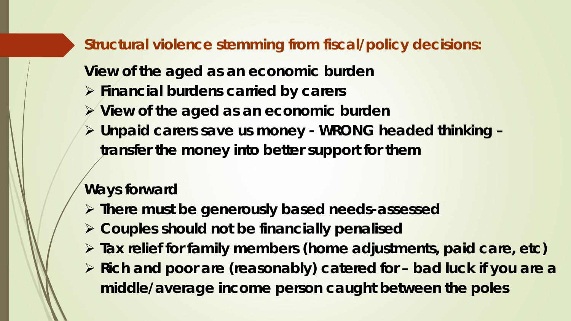**Structural violence stemming from fiscal/policy decisions:**

**View of the aged as an economic burden**

- **Financial burdens carried by carers**
- **View of the aged as an economic burden**
- **Unpaid carers save us money - WRONG headed thinking – transfer the money into better support for them**

### **Ways forward**

- **There must be generously based needs-assessed**
- **Couples should not be financially penalised**
- **Tax relief for family members (home adjustments, paid care, etc)**
- **Rich and poor are (reasonably) catered for – bad luck if you are a middle/average income person caught between the poles**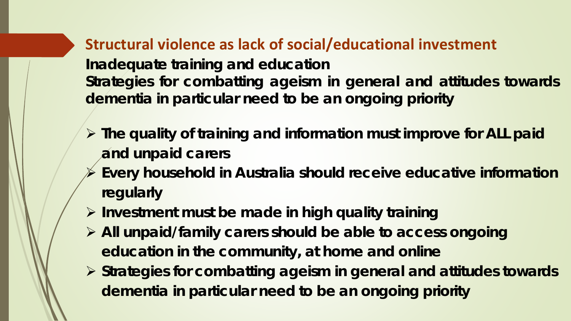**Structural violence as lack of social/educational investment Inadequate training and education Strategies for combatting ageism in general and attitudes towards dementia in particular need to be an ongoing priority**

- **The quality of training and information must improve for ALL paid and unpaid carers**
- **Every household in Australia should receive educative information regularly**
- **Investment must be made in high quality training**
- **All unpaid/family carers should be able to access ongoing education in the community, at home and online**
- **Strategies for combatting ageism in general and attitudes towards dementia in particular need to be an ongoing priority**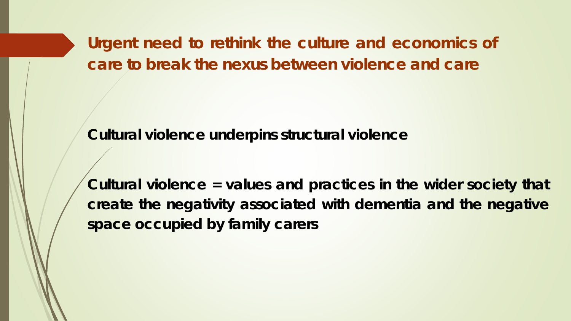**Urgent need to rethink the culture and economics of care to break the nexus between violence and care**

**Cultural violence underpins structural violence**

**Cultural violence = values and practices in the wider society that create the negativity associated with dementia and the negative space occupied by family carers**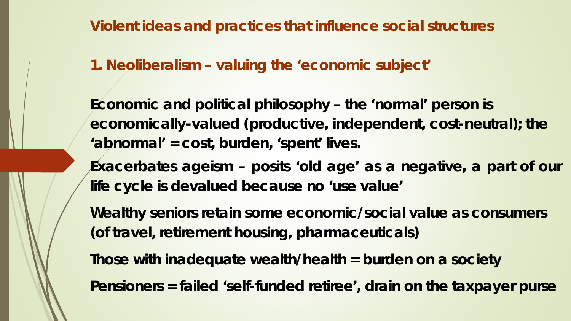**Violent ideas and practices that influence social structures**

### **1. Neoliberalism – valuing the 'economic subject'**

**Economic and political philosophy – the 'normal' person is economically-valued (productive, independent, cost-neutral); the 'abnormal' = cost, burden, 'spent' lives.**

**Exacerbates ageism – posits 'old age' as a negative, a part of our life cycle is devalued because no 'use value'**

**Wealthy seniors retain some economic/social value as consumers (of travel, retirement housing, pharmaceuticals)**

**Those with inadequate wealth/health = burden on a society**

**Pensioners = failed 'self-funded retiree', drain on the taxpayer purse**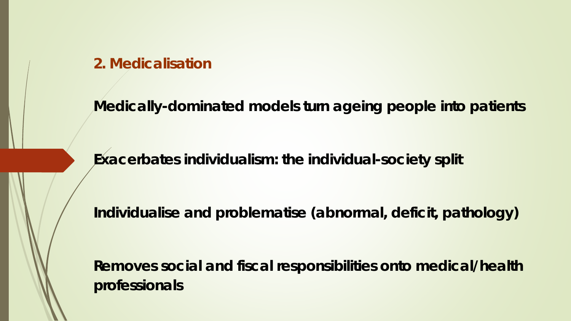#### **2. Medicalisation**

**Medically-dominated models turn ageing people into patients**

**Exacerbates individualism: the individual-society split** 

**Individualise and problematise (abnormal, deficit, pathology)**

**Removes social and fiscal responsibilities onto medical/health professionals**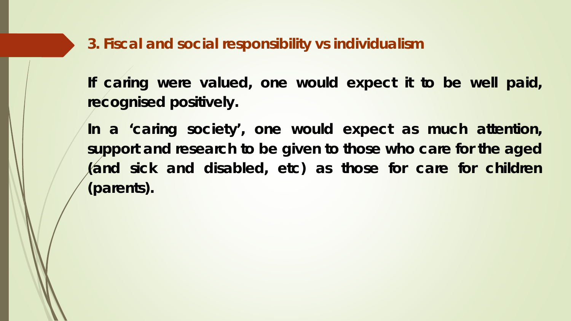**3. Fiscal and social responsibility vs individualism**

**If caring were valued, one would expect it to be well paid, recognised positively.**

**In a 'caring society', one would expect as much attention, support and research to be given to those who care for the aged (and sick and disabled, etc) as those for care for children (parents).**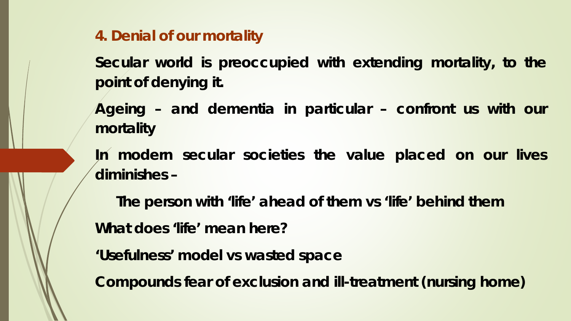**4. Denial of our mortality**

**Secular world is preoccupied with extending mortality, to the point of denying it.**

**Ageing – and dementia in particular – confront us with our mortality**

**In modern secular societies the value placed on our lives diminishes –**

**The person with 'life' ahead of them vs 'life' behind them What does 'life' mean here?**

**'Usefulness' model vs wasted space**

**Compounds fear of exclusion and ill-treatment (nursing home)**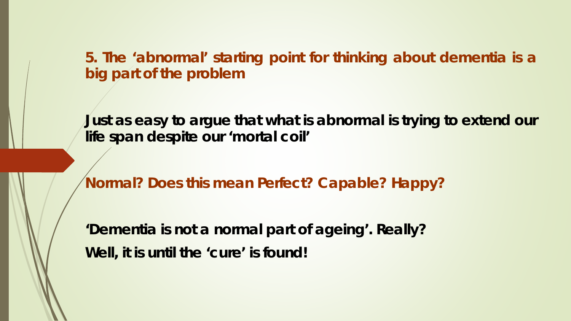**5. The 'abnormal' starting point for thinking about dementia is a big part of the problem**

**Just as easy to argue that what is abnormal is trying to extend our life span despite our 'mortal coil'**

**Normal? Does this mean Perfect? Capable? Happy?**

**'Dementia is not a normal part of ageing'. Really? Well, it is until the 'cure' is found!**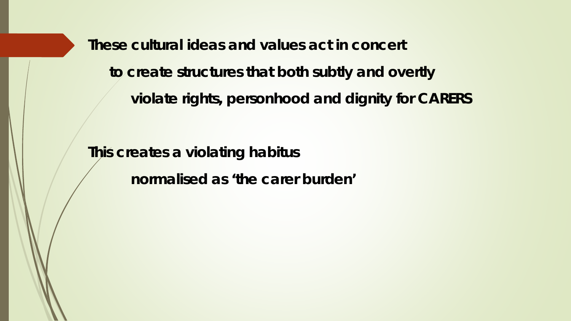**These cultural ideas and values act in concert to create structures that both subtly and overtly violate rights, personhood and dignity for CARERS**

**This creates a violating habitus**

**normalised as 'the carer burden'**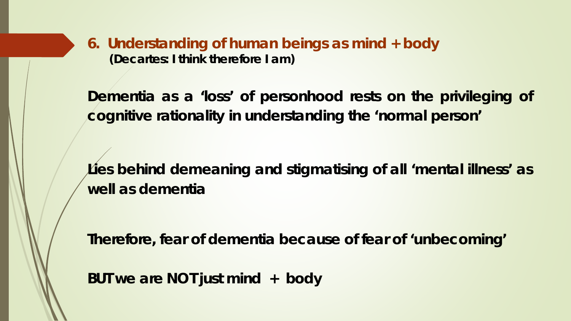**6. Understanding of human beings as mind + body (Decartes: I think therefore I am)**

**Dementia as a 'loss' of personhood rests on the privileging of cognitive rationality in understanding the 'normal person'**

**Lies behind demeaning and stigmatising of all 'mental illness' as well as dementia**

**Therefore, fear of dementia because of fear of 'unbecoming'**

**BUT we are NOT just mind + body**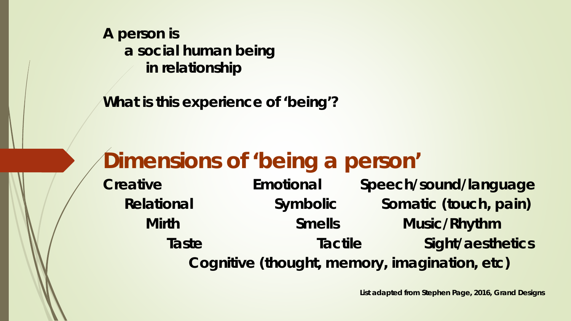**A person is a social human being in relationship**

**What is this experience of 'being'?**

# **Dimensions of 'being a person'**

**Creative Emotional Speech/sound/language Relational Symbolic Somatic (touch, pain) Mirth Smells Music/Rhythm Taste Tactile Sight/aesthetics Cognitive (thought, memory, imagination, etc)**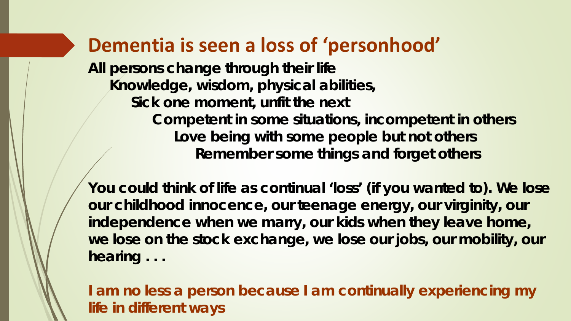### **Dementia is seen a loss of 'personhood'**

**All persons change through their life Knowledge, wisdom, physical abilities, Sick one moment, unfit the next Competent in some situations, incompetent in others Love being with some people but not others Remember some things and forget others**

**You could think of life as continual 'loss' (if you wanted to). We lose our childhood innocence, our teenage energy, our virginity, our independence when we marry, our kids when they leave home, we lose on the stock exchange, we lose our jobs, our mobility, our hearing . . .** 

**I am no less a person because I am continually experiencing my life in different ways**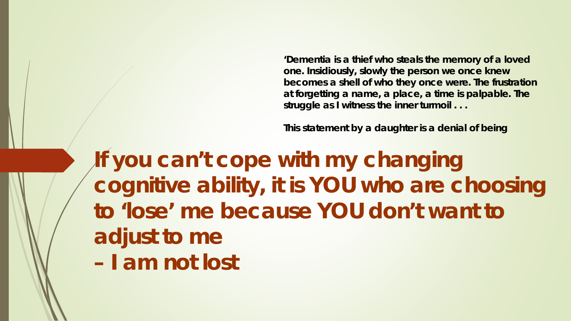**'Dementia is a thief who steals the memory of a loved one. Insidiously, slowly the person we once knew becomes a shell of who they once were. The frustration at forgetting a name, a place, a time is palpable. The struggle as I witness the inner turmoil . . .** 

**This statement by a daughter is a denial of being** 

**If you can't cope with my changing cognitive ability, it is YOU who are choosing to 'lose' me because YOU don't want to adjust to me – I am not lost**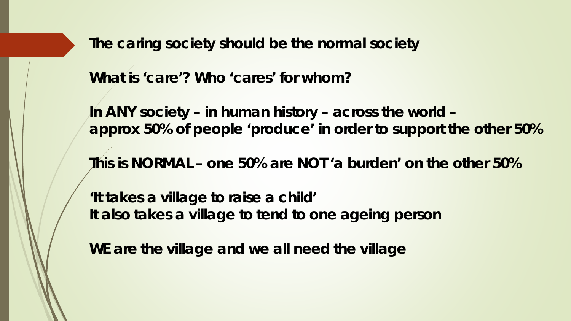**The caring society should be the normal society**

**What is 'care'? Who 'cares' for whom?**

**In ANY society – in human history – across the world – approx 50% of people 'produce' in order to support the other 50%**

**This is NORMAL – one 50% are NOT 'a burden' on the other 50%**

**'It takes a village to raise a child' It also takes a village to tend to one ageing person**

**WE are the village and we all need the village**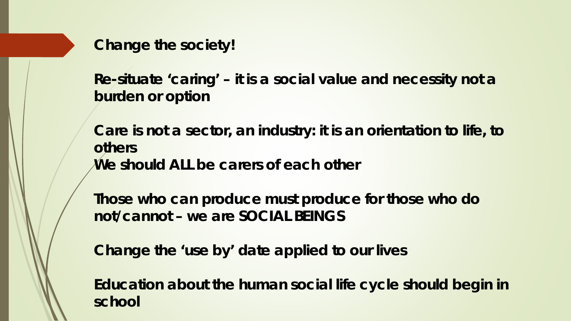**Change the society!** 

**Re-situate 'caring' – it is a social value and necessity not a burden or option** 

**Care is not a sector, an industry: it is an orientation to life, to others We should ALL be carers of each other**

**Those who can produce must produce for those who do not/cannot – we are SOCIAL BEINGS**

**Change the 'use by' date applied to our lives**

**Education about the human social life cycle should begin in school**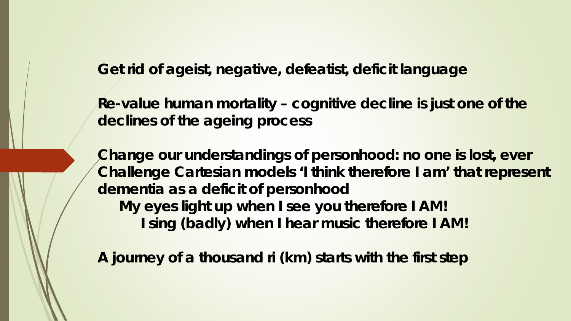**Get rid of ageist, negative, defeatist, deficit language**

**Re-value human mortality – cognitive decline is just one of the declines of the ageing process**

**Change our understandings of personhood: no one is lost, ever Challenge Cartesian models 'I think therefore I am' that represent dementia as a deficit of personhood My eyes light up when I see you therefore I AM! I sing (badly) when I hear music therefore I AM!** 

**A journey of a thousand ri (km) starts with the first step**